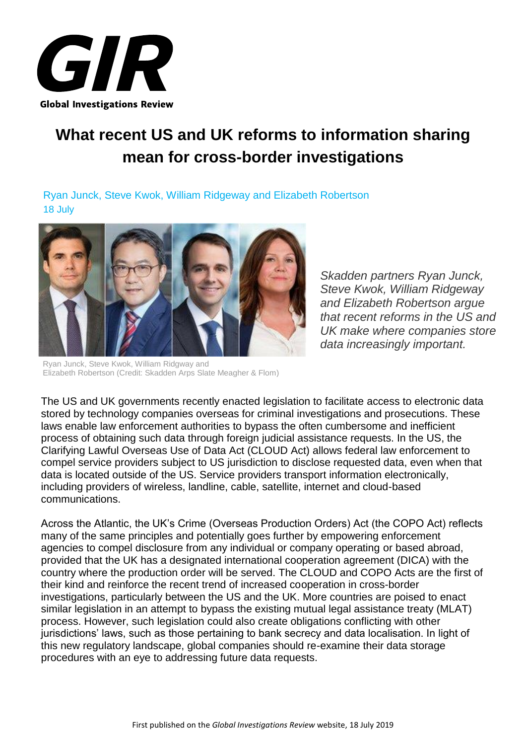

# **What recent US and UK reforms to information sharing mean for cross-border investigations**

Ryan Junck, Steve Kwok, William Ridgeway and Elizabeth Robertson 18 July



Ryan Junck, Steve Kwok, William Ridgway and Elizabeth Robertson (Credit: Skadden Arps Slate Meagher & Flom)

*Skadden partners Ryan Junck, Steve Kwok, William Ridgeway and Elizabeth Robertson argue that recent reforms in the US and UK make where companies store data increasingly important.*

The US and UK governments recently enacted legislation to facilitate access to electronic data stored by technology companies overseas for criminal investigations and prosecutions. These laws enable law enforcement authorities to bypass the often cumbersome and inefficient process of obtaining such data through foreign judicial assistance requests. In the US, the Clarifying Lawful Overseas Use of Data Act (CLOUD Act) allows federal law enforcement to compel service providers subject to US jurisdiction to disclose requested data, even when that data is located outside of the US. Service providers transport information electronically, including providers of wireless, landline, cable, satellite, internet and cloud-based communications.

Across the Atlantic, the UK's Crime (Overseas Production Orders) Act (the COPO Act) reflects many of the same principles and potentially goes further by empowering enforcement agencies to compel disclosure from any individual or company operating or based abroad, provided that the UK has a designated international cooperation agreement (DICA) with the country where the production order will be served. The CLOUD and COPO Acts are the first of their kind and reinforce the recent trend of increased cooperation in cross-border investigations, particularly between the US and the UK. More countries are poised to enact similar legislation in an attempt to bypass the existing mutual legal assistance treaty (MLAT) process. However, such legislation could also create obligations conflicting with other jurisdictions' laws, such as those pertaining to bank secrecy and data localisation. In light of this new regulatory landscape, global companies should re-examine their data storage procedures with an eye to addressing future data requests.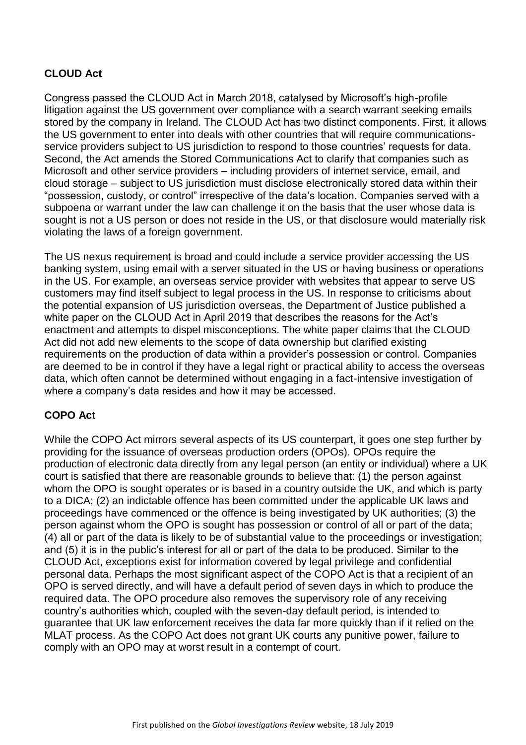# **CLOUD Act**

Congress passed the CLOUD Act in March 2018, catalysed by Microsoft's high-profile litigation against the US government over compliance with a search warrant seeking emails stored by the company in Ireland. The CLOUD Act has two distinct components. First, it allows the US government to enter into deals with other countries that will require communicationsservice providers subject to US jurisdiction to respond to those countries' requests for data. Second, the Act amends the Stored Communications Act to clarify that companies such as Microsoft and other service providers – including providers of internet service, email, and cloud storage – subject to US jurisdiction must disclose electronically stored data within their "possession, custody, or control" irrespective of the data's location. Companies served with a subpoena or warrant under the law can challenge it on the basis that the user whose data is sought is not a US person or does not reside in the US, or that disclosure would materially risk violating the laws of a foreign government.

The US nexus requirement is broad and could include a service provider accessing the US banking system, using email with a server situated in the US or having business or operations in the US. For example, an overseas service provider with websites that appear to serve US customers may find itself subject to legal process in the US. In response to criticisms about the potential expansion of US jurisdiction overseas, the Department of Justice published a white paper on the CLOUD Act in April 2019 that describes the reasons for the Act's enactment and attempts to dispel misconceptions. The white paper claims that the CLOUD Act did not add new elements to the scope of data ownership but clarified existing requirements on the production of data within a provider's possession or control. Companies are deemed to be in control if they have a legal right or practical ability to access the overseas data, which often cannot be determined without engaging in a fact-intensive investigation of where a company's data resides and how it may be accessed.

## **COPO Act**

While the COPO Act mirrors several aspects of its US counterpart, it goes one step further by providing for the issuance of overseas production orders (OPOs). OPOs require the production of electronic data directly from any legal person (an entity or individual) where a UK court is satisfied that there are reasonable grounds to believe that: (1) the person against whom the OPO is sought operates or is based in a country outside the UK, and which is party to a DICA; (2) an indictable offence has been committed under the applicable UK laws and proceedings have commenced or the offence is being investigated by UK authorities; (3) the person against whom the OPO is sought has possession or control of all or part of the data; (4) all or part of the data is likely to be of substantial value to the proceedings or investigation; and (5) it is in the public's interest for all or part of the data to be produced. Similar to the CLOUD Act, exceptions exist for information covered by legal privilege and confidential personal data. Perhaps the most significant aspect of the COPO Act is that a recipient of an OPO is served directly, and will have a default period of seven days in which to produce the required data. The OPO procedure also removes the supervisory role of any receiving country's authorities which, coupled with the seven-day default period, is intended to guarantee that UK law enforcement receives the data far more quickly than if it relied on the MLAT process. As the COPO Act does not grant UK courts any punitive power, failure to comply with an OPO may at worst result in a contempt of court.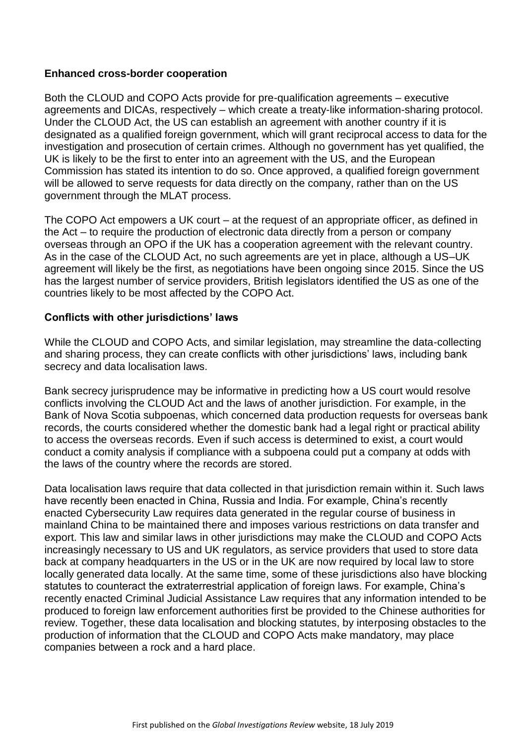#### **Enhanced cross-border cooperation**

Both the CLOUD and COPO Acts provide for pre-qualification agreements – executive agreements and DICAs, respectively – which create a treaty-like information-sharing protocol. Under the CLOUD Act, the US can establish an agreement with another country if it is designated as a qualified foreign government, which will grant reciprocal access to data for the investigation and prosecution of certain crimes. Although no government has yet qualified, the UK is likely to be the first to enter into an agreement with the US, and the European Commission has stated its intention to do so. Once approved, a qualified foreign government will be allowed to serve requests for data directly on the company, rather than on the US government through the MLAT process.

The COPO Act empowers a UK court – at the request of an appropriate officer, as defined in the Act – to require the production of electronic data directly from a person or company overseas through an OPO if the UK has a cooperation agreement with the relevant country. As in the case of the CLOUD Act, no such agreements are yet in place, although a US–UK agreement will likely be the first, as negotiations have been ongoing since 2015. Since the US has the largest number of service providers, British legislators identified the US as one of the countries likely to be most affected by the COPO Act.

#### **Conflicts with other jurisdictions' laws**

While the CLOUD and COPO Acts, and similar legislation, may streamline the data-collecting and sharing process, they can create conflicts with other jurisdictions' laws, including bank secrecy and data localisation laws.

Bank secrecy jurisprudence may be informative in predicting how a US court would resolve conflicts involving the CLOUD Act and the laws of another jurisdiction. For example, in the Bank of Nova Scotia subpoenas, which concerned data production requests for overseas bank records, the courts considered whether the domestic bank had a legal right or practical ability to access the overseas records. Even if such access is determined to exist, a court would conduct a comity analysis if compliance with a subpoena could put a company at odds with the laws of the country where the records are stored.

Data localisation laws require that data collected in that jurisdiction remain within it. Such laws have recently been enacted in China, Russia and India. For example, China's recently enacted Cybersecurity Law requires data generated in the regular course of business in mainland China to be maintained there and imposes various restrictions on data transfer and export. This law and similar laws in other jurisdictions may make the CLOUD and COPO Acts increasingly necessary to US and UK regulators, as service providers that used to store data back at company headquarters in the US or in the UK are now required by local law to store locally generated data locally. At the same time, some of these jurisdictions also have blocking statutes to counteract the extraterrestrial application of foreign laws. For example, China's recently enacted Criminal Judicial Assistance Law requires that any information intended to be produced to foreign law enforcement authorities first be provided to the Chinese authorities for review. Together, these data localisation and blocking statutes, by interposing obstacles to the production of information that the CLOUD and COPO Acts make mandatory, may place companies between a rock and a hard place.